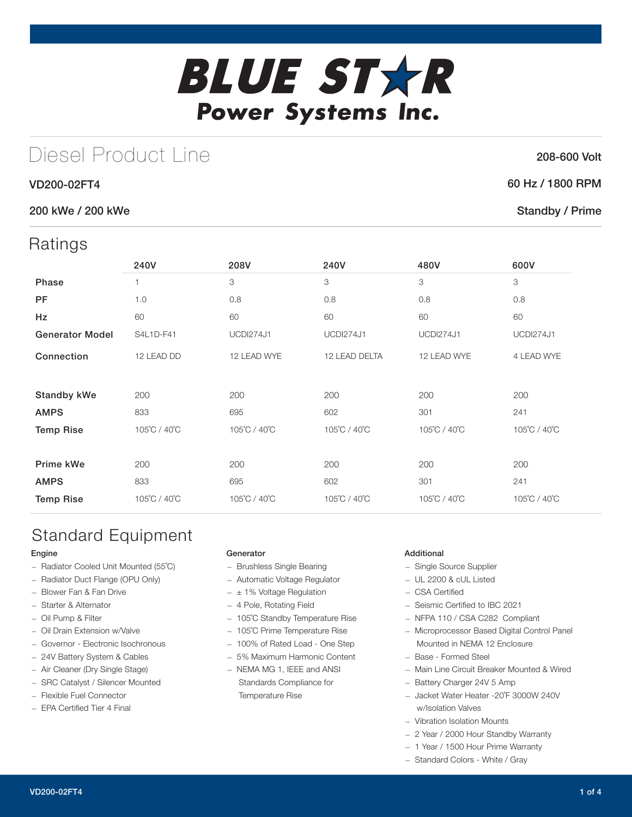# **BLUE STXR** Power Systems Inc.

## Diesel Product Line

#### VD200-02FT4

#### 200 kWe / 200 kWe

### Ratings

| $\cdots$               |              |                  |                  |                  |                  |
|------------------------|--------------|------------------|------------------|------------------|------------------|
|                        | 240V         | 208V             | 240V             | 480V             | 600V             |
| Phase                  | 1            | 3                | 3                | 3                | 3                |
| <b>PF</b>              | 1.0          | 0.8              | 0.8              | 0.8              | 0.8              |
| Hz                     | 60           | 60               | 60               | 60               | 60               |
| <b>Generator Model</b> | S4L1D-F41    | <b>UCDI274J1</b> | <b>UCDI274J1</b> | <b>UCDI274J1</b> | <b>UCDI274J1</b> |
| Connection             | 12 LEAD DD   | 12 LEAD WYE      | 12 LEAD DELTA    | 12 LEAD WYE      | 4 LEAD WYE       |
|                        |              |                  |                  |                  |                  |
| <b>Standby kWe</b>     | 200          | 200              | 200              | 200              | 200              |
| <b>AMPS</b>            | 833          | 695              | 602              | 301              | 241              |
| <b>Temp Rise</b>       | 105°C / 40°C | 105°C / 40°C     | 105°C / 40°C     | 105°C / 40°C     | 105°C / 40°C     |
|                        |              |                  |                  |                  |                  |
| Prime kWe              | 200          | 200              | 200              | 200              | 200              |
| <b>AMPS</b>            | 833          | 695              | 602              | 301              | 241              |
| <b>Temp Rise</b>       | 105°C / 40°C | 105°C / 40°C     | 105°C / 40°C     | 105°C / 40°C     | 105°C / 40°C     |
|                        |              |                  |                  |                  |                  |

## Standard Equipment

#### Engine

- Radiator Cooled Unit Mounted (55˚C)
- Radiator Duct Flange (OPU Only)
- Blower Fan & Fan Drive
- Starter & Alternator
- Oil Pump & Filter
- Oil Drain Extension w/Valve
- Governor Electronic Isochronous
- 24V Battery System & Cables
- Air Cleaner (Dry Single Stage)
- SRC Catalyst / Silencer Mounted
- Flexible Fuel Connector
- EPA Certified Tier 4 Final

#### Generator

- Brushless Single Bearing
- Automatic Voltage Regulator
- $\pm$  1% Voltage Regulation
- 4 Pole, Rotating Field
- 105˚C Standby Temperature Rise
- 105˚C Prime Temperature Rise
- 100% of Rated Load One Step
- 5% Maximum Harmonic Content
- NEMA MG 1, IEEE and ANSI Standards Compliance for Temperature Rise

#### Additional

- Single Source Supplier
- UL 2200 & cUL Listed
- CSA Certified
- Seismic Certified to IBC 2021
- NFPA 110 / CSA C282 Compliant
- Microprocessor Based Digital Control Panel Mounted in NEMA 12 Enclosure
- Base Formed Steel
- Main Line Circuit Breaker Mounted & Wired
- Battery Charger 24V 5 Amp
- Jacket Water Heater -20˚F 3000W 240V w/Isolation Valves
- Vibration Isolation Mounts
- 2 Year / 2000 Hour Standby Warranty
- 1 Year / 1500 Hour Prime Warranty
- Standard Colors White / Gray

#### 208-600 Volt

#### 60 Hz / 1800 RPM

#### Standby / Prime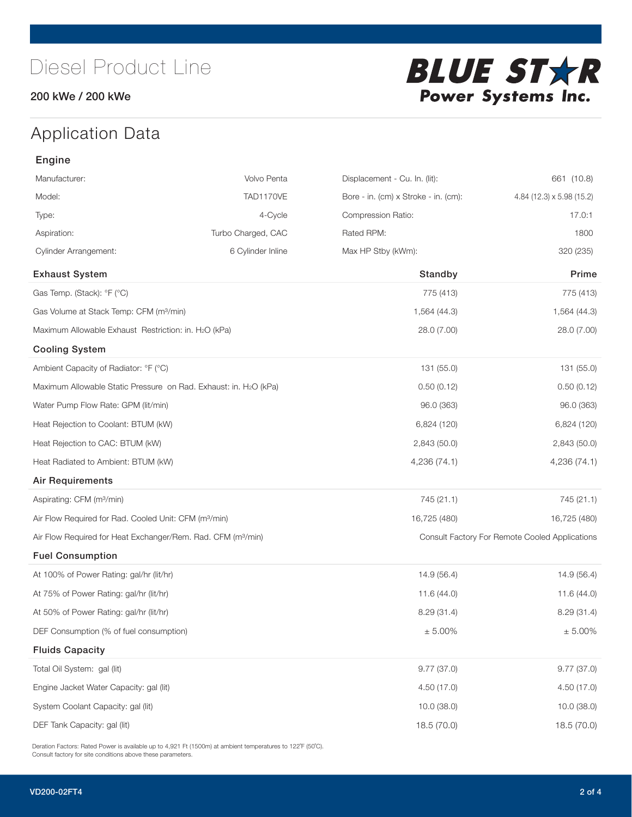#### 200 kWe / 200 kWe



## Application Data

| Engine                                                                   |                    |                                                |                           |
|--------------------------------------------------------------------------|--------------------|------------------------------------------------|---------------------------|
| Manufacturer:                                                            | Volvo Penta        | Displacement - Cu. In. (lit):                  | 661 (10.8)                |
| Model:                                                                   | TAD1170VE          | Bore - in. (cm) x Stroke - in. (cm):           | 4.84 (12.3) x 5.98 (15.2) |
| Type:                                                                    | 4-Cycle            | Compression Ratio:                             | 17.0:1                    |
| Aspiration:                                                              | Turbo Charged, CAC | Rated RPM:                                     | 1800                      |
| <b>Cylinder Arrangement:</b>                                             | 6 Cylinder Inline  | Max HP Stby (kWm):                             | 320 (235)                 |
| <b>Exhaust System</b>                                                    |                    | Standby                                        | Prime                     |
| Gas Temp. (Stack): °F (°C)                                               |                    | 775 (413)                                      | 775 (413)                 |
| Gas Volume at Stack Temp: CFM (m <sup>3</sup> /min)                      |                    | 1,564 (44.3)                                   | 1,564 (44.3)              |
| Maximum Allowable Exhaust Restriction: in. H2O (kPa)                     |                    | 28.0 (7.00)                                    | 28.0 (7.00)               |
| <b>Cooling System</b>                                                    |                    |                                                |                           |
| Ambient Capacity of Radiator: °F (°C)                                    |                    | 131 (55.0)                                     | 131 (55.0)                |
| Maximum Allowable Static Pressure on Rad. Exhaust: in. H2O (kPa)         |                    | 0.50(0.12)                                     | 0.50(0.12)                |
| Water Pump Flow Rate: GPM (lit/min)                                      |                    | 96.0 (363)                                     | 96.0 (363)                |
| Heat Rejection to Coolant: BTUM (kW)                                     |                    | 6,824 (120)                                    | 6,824 (120)               |
| Heat Rejection to CAC: BTUM (kW)                                         |                    | 2,843 (50.0)                                   | 2,843 (50.0)              |
| Heat Radiated to Ambient: BTUM (kW)                                      |                    | 4,236 (74.1)                                   | 4,236 (74.1)              |
| Air Requirements                                                         |                    |                                                |                           |
| Aspirating: CFM (m <sup>3</sup> /min)                                    |                    | 745 (21.1)                                     | 745 (21.1)                |
| Air Flow Required for Rad. Cooled Unit: CFM (m <sup>3</sup> /min)        |                    | 16,725 (480)                                   | 16,725 (480)              |
| Air Flow Required for Heat Exchanger/Rem. Rad. CFM (m <sup>3</sup> /min) |                    | Consult Factory For Remote Cooled Applications |                           |
| <b>Fuel Consumption</b>                                                  |                    |                                                |                           |
| At 100% of Power Rating: gal/hr (lit/hr)                                 |                    | 14.9(56.4)                                     | 14.9 (56.4)               |
| At 75% of Power Rating: gal/hr (lit/hr)                                  |                    | 11.6(44.0)                                     | 11.6(44.0)                |
| At 50% of Power Rating: gal/hr (lit/hr)                                  |                    | 8.29(31.4)                                     | 8.29(31.4)                |
| DEF Consumption (% of fuel consumption)                                  |                    | ± 5.00%                                        | $\pm$ 5.00%               |
| <b>Fluids Capacity</b>                                                   |                    |                                                |                           |
| Total Oil System: gal (lit)                                              |                    | 9.77(37.0)                                     | 9.77(37.0)                |
| Engine Jacket Water Capacity: gal (lit)                                  |                    | 4.50(17.0)                                     | 4.50(17.0)                |
| System Coolant Capacity: gal (lit)                                       |                    | 10.0(38.0)                                     | 10.0 (38.0)               |
| DEF Tank Capacity: gal (lit)                                             |                    | 18.5 (70.0)                                    | 18.5 (70.0)               |

Deration Factors: Rated Power is available up to 4,921 Ft (1500m) at ambient temperatures to 122°F (50°C). Consult factory for site conditions above these parameters.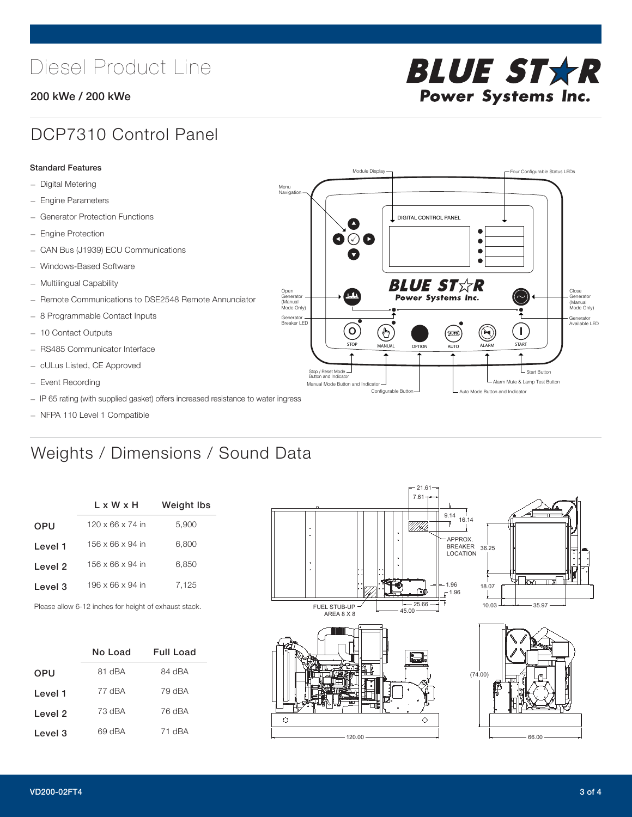## Diesel Product Line

#### 200 kWe / 200 kWe



## DCP7310 Control Panel

#### Standard Features

- Digital Metering
- Engine Parameters
- Generator Protection Functions
- Engine Protection
- CAN Bus (J1939) ECU Communications
- Windows-Based Software
- Multilingual Capability
- Remote Communications to DSE2548 Remote Annunciator
- 8 Programmable Contact Inputs
- 10 Contact Outputs
- RS485 Communicator Interface
- cULus Listed, CE Approved
- Event Recording
- IP 65 rating (with supplied gasket) offers increased resistance to water ingress
- NFPA 110 Level 1 Compatible

## Weights / Dimensions / Sound Data

|            | L x W x H                    | <b>Weight lbs</b> |  |  |
|------------|------------------------------|-------------------|--|--|
| <b>OPU</b> | $120 \times 66 \times 74$ in | 5,900             |  |  |
| Level 1    | 156 x 66 x 94 in             | 6.800             |  |  |
| Level 2    | 156 x 66 x 94 in             | 6.850             |  |  |
| Level 3    | 196 x 66 x 94 in             | 7,125             |  |  |
|            |                              |                   |  |  |

Please allow 6-12 inches for height of exhaust stack.

|            | No Load | <b>Full Load</b> |
|------------|---------|------------------|
| <b>OPU</b> | 81 dBA  | 84 dBA           |
| Level 1    | 77 dBA  | 79 dBA           |
| Level 2    | 73 dBA  | 76 dBA           |
| Level 3    | 69 dBA  | 71 dBA           |



STOP MANUAL OPTION AUTO ALARM START

[AUTO]

**BLUE STAR** Power Systems Inc.

Manual Mode Button and Indicator United States and Indicator United States and Indicator United States and Indicator United States and Indicator United States and Indicator United States and Indicator United States and Ind Configurable Button -  $\Box$  Auto Mode Button and Indicator

DIGITAL CONTROL PANEL

Module Display  $\Box$ 

 $\bullet$  $\bullet$  $\bullet$ 

 $\circledcirc$ 

Menu Navigation

Open Generator (Manual Mode Only)

Generator Breaker LED

Stop / Reset Mode Button and Indicator

 $\bullet$  $\bullet$   $\circ$   $\bullet$ 

 $\sigma$ 

՟Պ

Close Generator (Manual Mode Only)

Generator Available LED

L Start Button

 $\blacksquare$